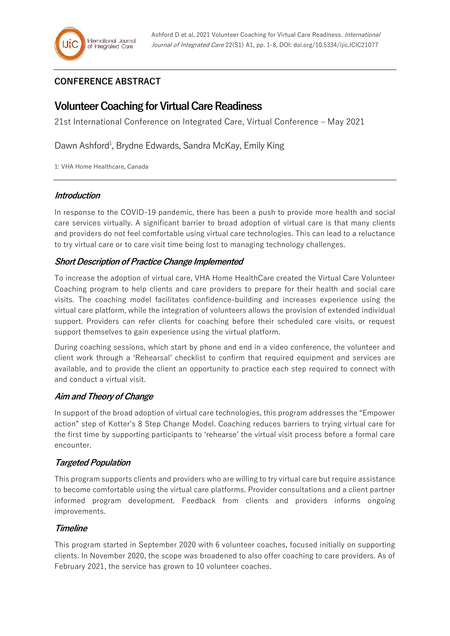## **CONFERENCE ABSTRACT**

# **Volunteer Coaching for Virtual Care Readiness**

21st International Conference on Integrated Care, Virtual Conference – May 2021

Dawn Ashford<sup>1</sup>, Brydne Edwards, Sandra McKay, Emily King

1: VHA Home Healthcare, Canada

## **Introduction**

In response to the COVID-19 pandemic, there has been a push to provide more health and social care services virtually. A significant barrier to broad adoption of virtual care is that many clients and providers do not feel comfortable using virtual care technologies. This can lead to a reluctance to try virtual care or to care visit time being lost to managing technology challenges.

## **Short Description of Practice Change Implemented**

To increase the adoption of virtual care, VHA Home HealthCare created the Virtual Care Volunteer Coaching program to help clients and care providers to prepare for their health and social care visits. The coaching model facilitates confidence-building and increases experience using the virtual care platform, while the integration of volunteers allows the provision of extended individual support. Providers can refer clients for coaching before their scheduled care visits, or request support themselves to gain experience using the virtual platform.

During coaching sessions, which start by phone and end in a video conference, the volunteer and client work through a 'Rehearsal' checklist to confirm that required equipment and services are available, and to provide the client an opportunity to practice each step required to connect with and conduct a virtual visit.

## **Aim and Theory of Change**

In support of the broad adoption of virtual care technologies, this program addresses the "Empower action" step of Kotter's 8 Step Change Model. Coaching reduces barriers to trying virtual care for the first time by supporting participants to 'rehearse' the virtual visit process before a formal care encounter.

## **Targeted Population**

This program supports clients and providers who are willing to try virtual care but require assistance to become comfortable using the virtual care platforms. Provider consultations and a client partner informed program development. Feedback from clients and providers informs ongoing improvements.

## **Timeline**

This program started in September 2020 with 6 volunteer coaches, focused initially on supporting clients. In November 2020, the scope was broadened to also offer coaching to care providers. As of February 2021, the service has grown to 10 volunteer coaches.